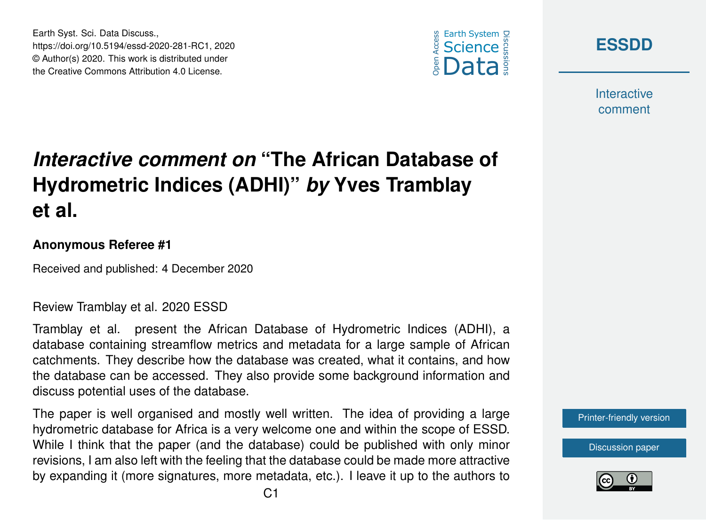





**Interactive** comment

# *Interactive comment on* **"The African Database of Hydrometric Indices (ADHI)"** *by* **Yves Tramblay et al.**

#### **Anonymous Referee #1**

Received and published: 4 December 2020

#### Review Tramblay et al. 2020 ESSD

Tramblay et al. present the African Database of Hydrometric Indices (ADHI), a database containing streamflow metrics and metadata for a large sample of African catchments. They describe how the database was created, what it contains, and how the database can be accessed. They also provide some background information and discuss potential uses of the database.

The paper is well organised and mostly well written. The idea of providing a large hydrometric database for Africa is a very welcome one and within the scope of ESSD. While I think that the paper (and the database) could be published with only minor revisions, I am also left with the feeling that the database could be made more attractive by expanding it (more signatures, more metadata, etc.). I leave it up to the authors to

[Printer-friendly version](https://essd.copernicus.org/preprints/essd-2020-281/essd-2020-281-RC1-print.pdf)

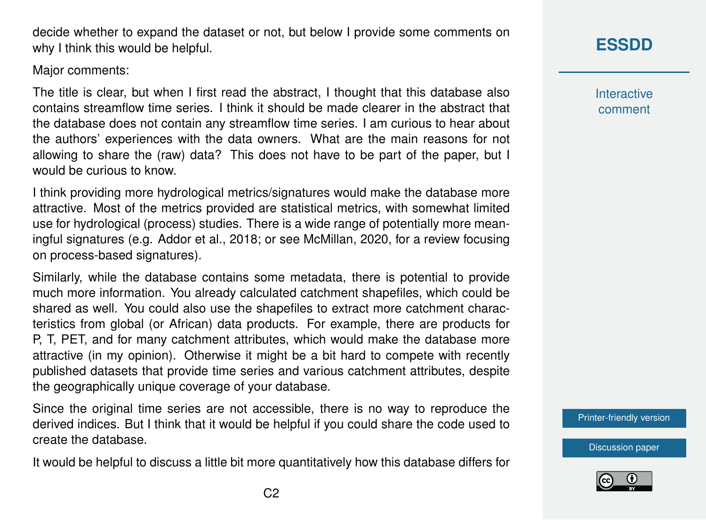$C<sub>2</sub>$ 

decide whether to expand the dataset or not, but below I provide some comments on why I think this would be helpful.

Major comments:

The title is clear, but when I first read the abstract, I thought that this database also contains streamflow time series. I think it should be made clearer in the abstract that the database does not contain any streamflow time series. I am curious to hear about the authors' experiences with the data owners. What are the main reasons for not allowing to share the (raw) data? This does not have to be part of the paper, but I would be curious to know.

I think providing more hydrological metrics/signatures would make the database more attractive. Most of the metrics provided are statistical metrics, with somewhat limited use for hydrological (process) studies. There is a wide range of potentially more meaningful signatures (e.g. Addor et al., 2018; or see McMillan, 2020, for a review focusing on process-based signatures).

Similarly, while the database contains some metadata, there is potential to provide much more information. You already calculated catchment shapefiles, which could be shared as well. You could also use the shapefiles to extract more catchment characteristics from global (or African) data products. For example, there are products for P, T, PET, and for many catchment attributes, which would make the database more attractive (in my opinion). Otherwise it might be a bit hard to compete with recently published datasets that provide time series and various catchment attributes, despite the geographically unique coverage of your database.

Since the original time series are not accessible, there is no way to reproduce the derived indices. But I think that it would be helpful if you could share the code used to create the database.

It would be helpful to discuss a little bit more quantitatively how this database differs for

## **[ESSDD](https://essd.copernicus.org/preprints/)**

**Interactive** comment

[Printer-friendly version](https://essd.copernicus.org/preprints/essd-2020-281/essd-2020-281-RC1-print.pdf)

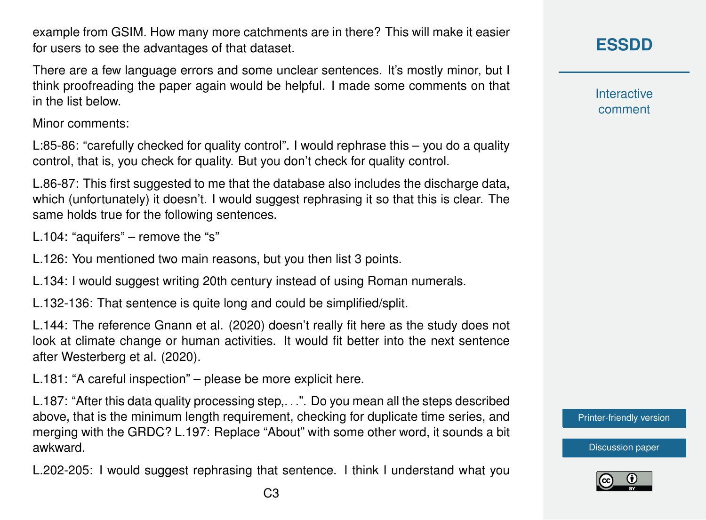example from GSIM. How many more catchments are in there? This will make it easier for users to see the advantages of that dataset.

There are a few language errors and some unclear sentences. It's mostly minor, but I think proofreading the paper again would be helpful. I made some comments on that in the list below.

Minor comments:

L:85-86: "carefully checked for quality control". I would rephrase this – you do a quality control, that is, you check for quality. But you don't check for quality control.

L.86-87: This first suggested to me that the database also includes the discharge data, which (unfortunately) it doesn't. I would suggest rephrasing it so that this is clear. The same holds true for the following sentences.

L.104: "aquifers" – remove the "s"

L.126: You mentioned two main reasons, but you then list 3 points.

L.134: I would suggest writing 20th century instead of using Roman numerals.

L.132-136: That sentence is quite long and could be simplified/split.

L.144: The reference Gnann et al. (2020) doesn't really fit here as the study does not look at climate change or human activities. It would fit better into the next sentence after Westerberg et al. (2020).

L.181: "A careful inspection" – please be more explicit here.

L.187: "After this data quality processing step,. . .". Do you mean all the steps described above, that is the minimum length requirement, checking for duplicate time series, and merging with the GRDC? L.197: Replace "About" with some other word, it sounds a bit awkward.

L.202-205: I would suggest rephrasing that sentence. I think I understand what you

**Interactive** comment

[Printer-friendly version](https://essd.copernicus.org/preprints/essd-2020-281/essd-2020-281-RC1-print.pdf)

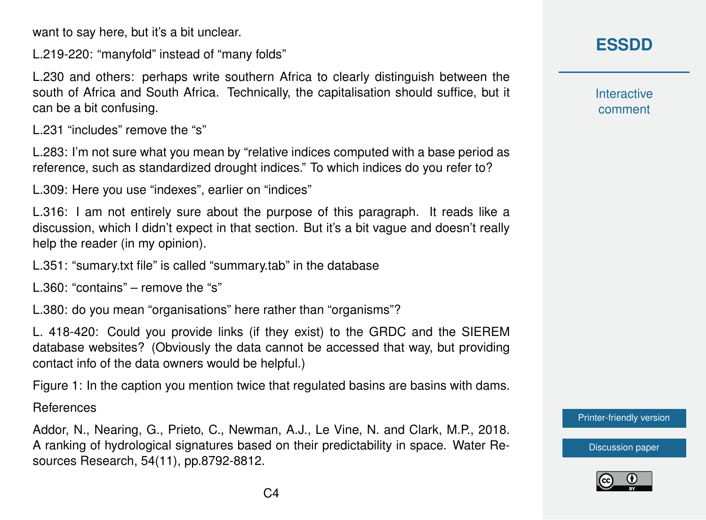want to say here, but it's a bit unclear.

L.219-220: "manyfold" instead of "many folds"

L.230 and others: perhaps write southern Africa to clearly distinguish between the south of Africa and South Africa. Technically, the capitalisation should suffice, but it can be a bit confusing.

L.231 "includes" remove the "s"

L.283: I'm not sure what you mean by "relative indices computed with a base period as reference, such as standardized drought indices." To which indices do you refer to?

L.309: Here you use "indexes", earlier on "indices"

L.316: I am not entirely sure about the purpose of this paragraph. It reads like a discussion, which I didn't expect in that section. But it's a bit vague and doesn't really help the reader (in my opinion).

L.351: "sumary.txt file" is called "summary.tab" in the database

L.360: "contains" – remove the "s"

L.380: do you mean "organisations" here rather than "organisms"?

L. 418-420: Could you provide links (if they exist) to the GRDC and the SIEREM database websites? (Obviously the data cannot be accessed that way, but providing contact info of the data owners would be helpful.)

Figure 1: In the caption you mention twice that regulated basins are basins with dams.

References

Addor, N., Nearing, G., Prieto, C., Newman, A.J., Le Vine, N. and Clark, M.P., 2018. A ranking of hydrological signatures based on their predictability in space. Water Resources Research, 54(11), pp.8792-8812.

## **[ESSDD](https://essd.copernicus.org/preprints/)**

**Interactive** comment

[Printer-friendly version](https://essd.copernicus.org/preprints/essd-2020-281/essd-2020-281-RC1-print.pdf)